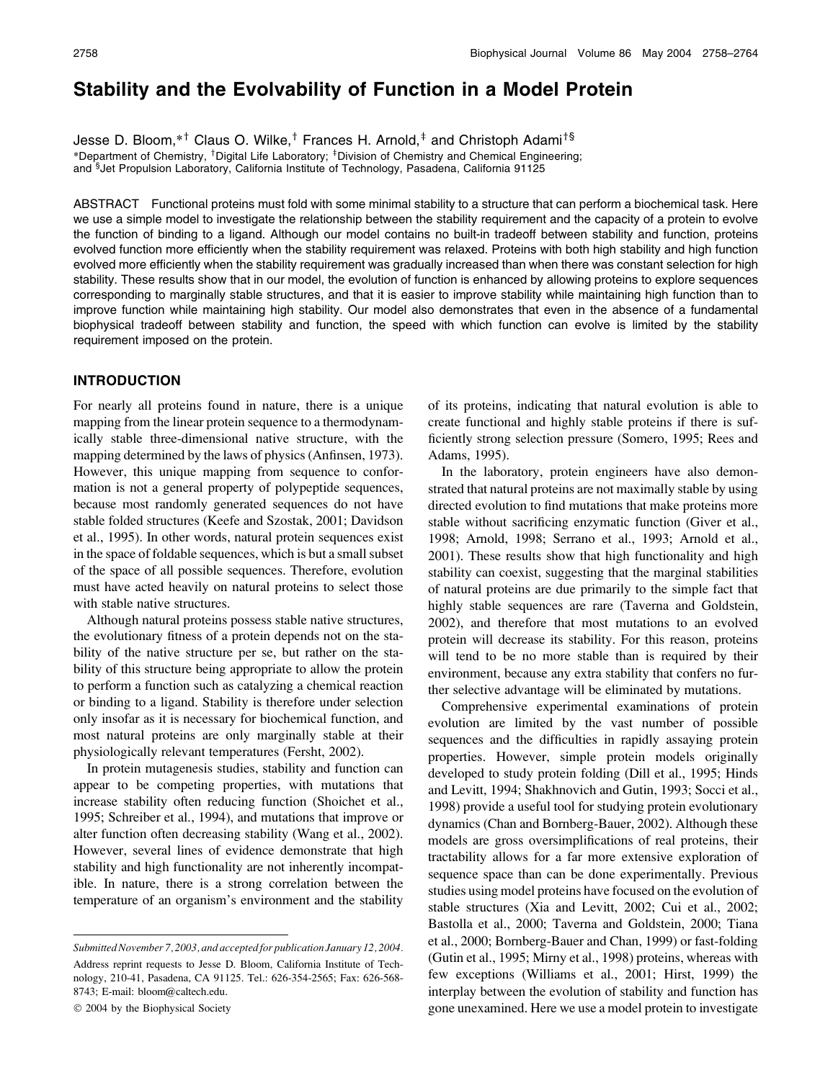# Stability and the Evolvability of Function in a Model Protein

Jesse D. Bloom,\*<sup>†</sup> Claus O. Wilke,<sup>†</sup> Frances H. Arnold,<sup>‡</sup> and Christoph Adami<sup>†§</sup> \*Department of Chemistry, <sup>†</sup>Digital Life Laboratory; <sup>‡</sup>Division of Chemistry and Chemical Engineering; and <sup>s</sup>Jet Propulsion Laboratory, California Institute of Technology, Pasadena, California 91125

ABSTRACT Functional proteins must fold with some minimal stability to a structure that can perform a biochemical task. Here we use a simple model to investigate the relationship between the stability requirement and the capacity of a protein to evolve the function of binding to a ligand. Although our model contains no built-in tradeoff between stability and function, proteins evolved function more efficiently when the stability requirement was relaxed. Proteins with both high stability and high function evolved more efficiently when the stability requirement was gradually increased than when there was constant selection for high stability. These results show that in our model, the evolution of function is enhanced by allowing proteins to explore sequences corresponding to marginally stable structures, and that it is easier to improve stability while maintaining high function than to improve function while maintaining high stability. Our model also demonstrates that even in the absence of a fundamental biophysical tradeoff between stability and function, the speed with which function can evolve is limited by the stability requirement imposed on the protein.

## INTRODUCTION

For nearly all proteins found in nature, there is a unique mapping from the linear protein sequence to a thermodynamically stable three-dimensional native structure, with the mapping determined by the laws of physics (Anfinsen, 1973). However, this unique mapping from sequence to conformation is not a general property of polypeptide sequences, because most randomly generated sequences do not have stable folded structures (Keefe and Szostak, 2001; Davidson et al., 1995). In other words, natural protein sequences exist in the space of foldable sequences, which is but a small subset of the space of all possible sequences. Therefore, evolution must have acted heavily on natural proteins to select those with stable native structures.

Although natural proteins possess stable native structures, the evolutionary fitness of a protein depends not on the stability of the native structure per se, but rather on the stability of this structure being appropriate to allow the protein to perform a function such as catalyzing a chemical reaction or binding to a ligand. Stability is therefore under selection only insofar as it is necessary for biochemical function, and most natural proteins are only marginally stable at their physiologically relevant temperatures (Fersht, 2002).

In protein mutagenesis studies, stability and function can appear to be competing properties, with mutations that increase stability often reducing function (Shoichet et al., 1995; Schreiber et al., 1994), and mutations that improve or alter function often decreasing stability (Wang et al., 2002). However, several lines of evidence demonstrate that high stability and high functionality are not inherently incompatible. In nature, there is a strong correlation between the temperature of an organism's environment and the stability

2004 by the Biophysical Society

of its proteins, indicating that natural evolution is able to create functional and highly stable proteins if there is sufficiently strong selection pressure (Somero, 1995; Rees and Adams, 1995).

In the laboratory, protein engineers have also demonstrated that natural proteins are not maximally stable by using directed evolution to find mutations that make proteins more stable without sacrificing enzymatic function (Giver et al., 1998; Arnold, 1998; Serrano et al., 1993; Arnold et al., 2001). These results show that high functionality and high stability can coexist, suggesting that the marginal stabilities of natural proteins are due primarily to the simple fact that highly stable sequences are rare (Taverna and Goldstein, 2002), and therefore that most mutations to an evolved protein will decrease its stability. For this reason, proteins will tend to be no more stable than is required by their environment, because any extra stability that confers no further selective advantage will be eliminated by mutations.

Comprehensive experimental examinations of protein evolution are limited by the vast number of possible sequences and the difficulties in rapidly assaying protein properties. However, simple protein models originally developed to study protein folding (Dill et al., 1995; Hinds and Levitt, 1994; Shakhnovich and Gutin, 1993; Socci et al., 1998) provide a useful tool for studying protein evolutionary dynamics (Chan and Bornberg-Bauer, 2002). Although these models are gross oversimplifications of real proteins, their tractability allows for a far more extensive exploration of sequence space than can be done experimentally. Previous studies using model proteins have focused on the evolution of stable structures (Xia and Levitt, 2002; Cui et al., 2002; Bastolla et al., 2000; Taverna and Goldstein, 2000; Tiana et al., 2000; Bornberg-Bauer and Chan, 1999) or fast-folding (Gutin et al., 1995; Mirny et al., 1998) proteins, whereas with few exceptions (Williams et al., 2001; Hirst, 1999) the interplay between the evolution of stability and function has gone unexamined. Here we use a model protein to investigate

Submitted November 7, 2003, and accepted for publication January 12, 2004. Address reprint requests to Jesse D. Bloom, California Institute of Technology, 210-41, Pasadena, CA 91125. Tel.: 626-354-2565; Fax: 626-568- 8743; E-mail: bloom@caltech.edu.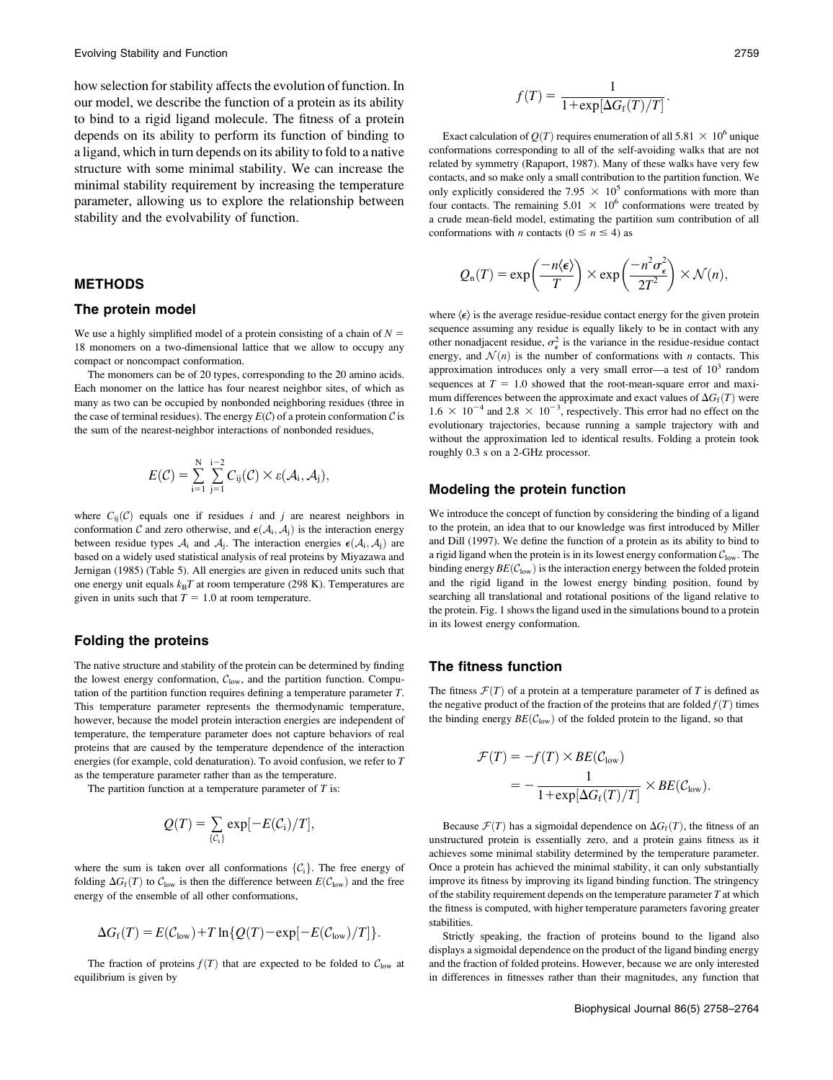Evolving Stability and Function 2759

how selection for stability affects the evolution of function. In our model, we describe the function of a protein as its ability to bind to a rigid ligand molecule. The fitness of a protein depends on its ability to perform its function of binding to a ligand, which in turn depends on its ability to fold to a native structure with some minimal stability. We can increase the minimal stability requirement by increasing the temperature parameter, allowing us to explore the relationship between stability and the evolvability of function.

## METHODS

#### The protein model

We use a highly simplified model of a protein consisting of a chain of  $N =$ 18 monomers on a two-dimensional lattice that we allow to occupy any compact or noncompact conformation.

The monomers can be of 20 types, corresponding to the 20 amino acids. Each monomer on the lattice has four nearest neighbor sites, of which as many as two can be occupied by nonbonded neighboring residues (three in the case of terminal residues). The energy  $E(C)$  of a protein conformation  $C$  is the sum of the nearest-neighbor interactions of nonbonded residues,

$$
E(\mathcal{C}) = \sum_{i=1}^{N} \sum_{j=1}^{i-2} C_{ij}(\mathcal{C}) \times \varepsilon(\mathcal{A}_i, \mathcal{A}_j),
$$

where  $C_{ii}(\mathcal{C})$  equals one if residues i and j are nearest neighbors in conformation C and zero otherwise, and  $\epsilon(A_i, A_i)$  is the interaction energy between residue types  $A_i$  and  $A_j$ . The interaction energies  $\epsilon(A_i, A_j)$  are based on a widely used statistical analysis of real proteins by Miyazawa and Jernigan (1985) (Table 5). All energies are given in reduced units such that one energy unit equals  $k_BT$  at room temperature (298 K). Temperatures are given in units such that  $T = 1.0$  at room temperature.

#### Folding the proteins

The native structure and stability of the protein can be determined by finding the lowest energy conformation,  $C_{low}$ , and the partition function. Computation of the partition function requires defining a temperature parameter T. This temperature parameter represents the thermodynamic temperature, however, because the model protein interaction energies are independent of temperature, the temperature parameter does not capture behaviors of real proteins that are caused by the temperature dependence of the interaction energies (for example, cold denaturation). To avoid confusion, we refer to T as the temperature parameter rather than as the temperature.

The partition function at a temperature parameter of  $T$  is:

$$
Q(T) = \sum_{\{C_i\}} \exp[-E(C_i)/T],
$$

where the sum is taken over all conformations  $\{C_i\}$ . The free energy of folding  $\Delta G_f(T)$  to  $\mathcal{C}_{\text{low}}$  is then the difference between  $E(\mathcal{C}_{\text{low}})$  and the free energy of the ensemble of all other conformations,

$$
\Delta G_{\rm f}(T) = E(\mathcal{C}_{\rm low}) + T \ln \{Q(T) - \exp[-E(\mathcal{C}_{\rm low})/T]\}.
$$

The fraction of proteins  $f(T)$  that are expected to be folded to  $C_{\text{low}}$  at equilibrium is given by

$$
f(T) = \frac{1}{1 + \exp[\Delta G_{\rm f}(T)/T]}.
$$

Exact calculation of  $Q(T)$  requires enumeration of all 5.81  $\times$  10<sup>6</sup> unique conformations corresponding to all of the self-avoiding walks that are not related by symmetry (Rapaport, 1987). Many of these walks have very few contacts, and so make only a small contribution to the partition function. We only explicitly considered the 7.95  $\times$  10<sup>5</sup> conformations with more than four contacts. The remaining  $5.01 \times 10^6$  conformations were treated by a crude mean-field model, estimating the partition sum contribution of all conformations with *n* contacts ( $0 \le n \le 4$ ) as

$$
Q_{n}(T) = \exp\left(\frac{-n\langle \epsilon \rangle}{T}\right) \times \exp\left(\frac{-n^{2}\sigma_{\epsilon}^{2}}{2T^{2}}\right) \times \mathcal{N}(n),
$$

where  $\langle \epsilon \rangle$  is the average residue-residue contact energy for the given protein sequence assuming any residue is equally likely to be in contact with any other nonadjacent residue,  $\sigma_{\epsilon}^2$  is the variance in the residue-residue contact energy, and  $\mathcal{N}(n)$  is the number of conformations with *n* contacts. This approximation introduces only a very small error—a test of  $10<sup>3</sup>$  random sequences at  $T = 1.0$  showed that the root-mean-square error and maximum differences between the approximate and exact values of  $\Delta G_f(T)$  were  $1.6 \times 10^{-4}$  and  $2.8 \times 10^{-3}$ , respectively. This error had no effect on the evolutionary trajectories, because running a sample trajectory with and without the approximation led to identical results. Folding a protein took roughly 0.3 s on a 2-GHz processor.

## Modeling the protein function

We introduce the concept of function by considering the binding of a ligand to the protein, an idea that to our knowledge was first introduced by Miller and Dill (1997). We define the function of a protein as its ability to bind to a rigid ligand when the protein is in its lowest energy conformation  $C_{\text{low}}$ . The binding energy  $BE(\mathcal{C}_{low})$  is the interaction energy between the folded protein and the rigid ligand in the lowest energy binding position, found by searching all translational and rotational positions of the ligand relative to the protein. Fig. 1 shows the ligand used in the simulations bound to a protein in its lowest energy conformation.

#### The fitness function

The fitness  $\mathcal{F}(T)$  of a protein at a temperature parameter of T is defined as the negative product of the fraction of the proteins that are folded  $f(T)$  times the binding energy  $BE(\mathcal{C}_{\text{low}})$  of the folded protein to the ligand, so that

$$
\mathcal{F}(T) = -f(T) \times BE(C_{\text{low}})
$$
  
= 
$$
-\frac{1}{1 + \exp[\Delta G_{\text{f}}(T)/T]} \times BE(C_{\text{low}}).
$$

Because  $\mathcal{F}(T)$  has a sigmoidal dependence on  $\Delta G_f(T)$ , the fitness of an unstructured protein is essentially zero, and a protein gains fitness as it achieves some minimal stability determined by the temperature parameter. Once a protein has achieved the minimal stability, it can only substantially improve its fitness by improving its ligand binding function. The stringency of the stability requirement depends on the temperature parameter  $T$  at which the fitness is computed, with higher temperature parameters favoring greater stabilities.

Strictly speaking, the fraction of proteins bound to the ligand also displays a sigmoidal dependence on the product of the ligand binding energy and the fraction of folded proteins. However, because we are only interested in differences in fitnesses rather than their magnitudes, any function that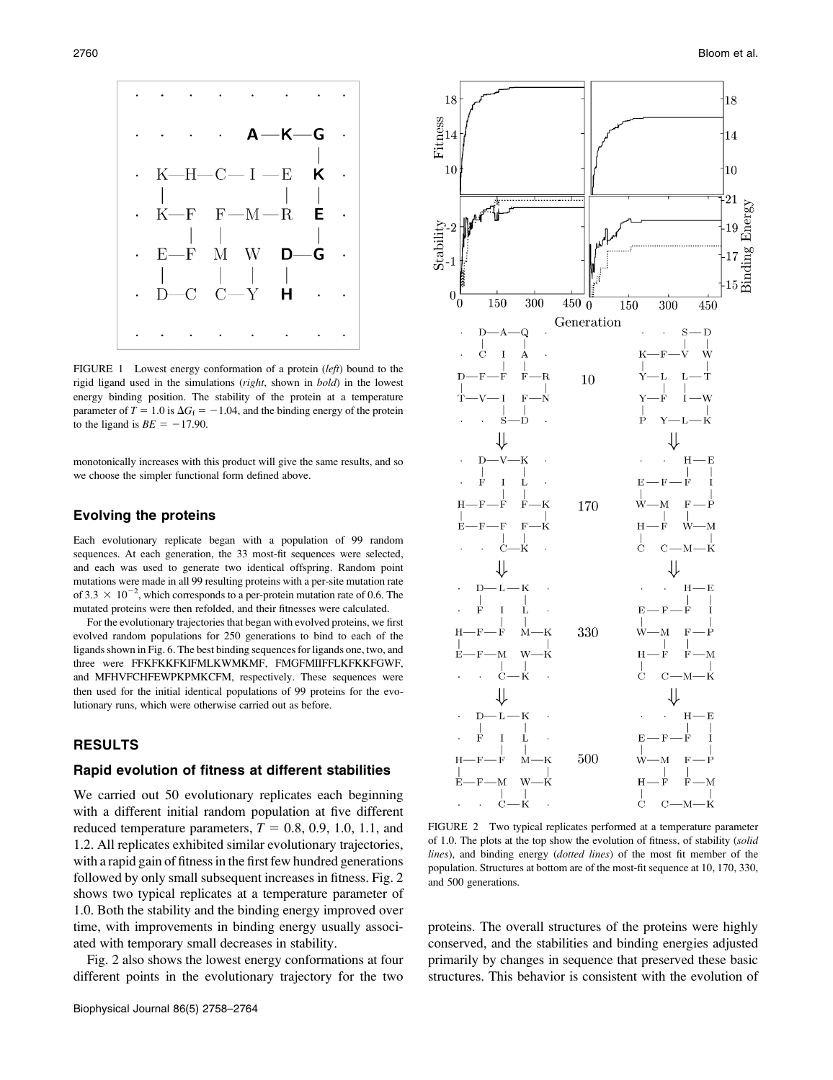

FIGURE 1 Lowest energy conformation of a protein (left) bound to the rigid ligand used in the simulations (*right*, shown in *bold*) in the lowest energy binding position. The stability of the protein at a temperature parameter of  $T = 1.0$  is  $\Delta G_f = -1.04$ , and the binding energy of the protein to the ligand is  $BE = -17.90$ .

monotonically increases with this product will give the same results, and so we choose the simpler functional form defined above.

#### Evolving the proteins

Each evolutionary replicate began with a population of 99 random sequences. At each generation, the 33 most-fit sequences were selected, and each was used to generate two identical offspring. Random point mutations were made in all 99 resulting proteins with a per-site mutation rate of 3.3  $\times$  10<sup>-2</sup>, which corresponds to a per-protein mutation rate of 0.6. The mutated proteins were then refolded, and their fitnesses were calculated.

For the evolutionary trajectories that began with evolved proteins, we first evolved random populations for 250 generations to bind to each of the ligands shown in Fig. 6. The best binding sequences for ligands one, two, and three were FFKFKKFKIFMLKWMKMF, FMGFMIIFFLKFKKFGWF, and MFHVFCHFEWPKPMKCFM, respectively. These sequences were then used for the initial identical populations of 99 proteins for the evolutionary runs, which were otherwise carried out as before.

#### RESULTS

#### Rapid evolution of fitness at different stabilities

We carried out 50 evolutionary replicates each beginning with a different initial random population at five different reduced temperature parameters,  $T = 0.8, 0.9, 1.0, 1.1,$  and 1.2. All replicates exhibited similar evolutionary trajectories, with a rapid gain of fitness in the first few hundred generations followed by only small subsequent increases in fitness. Fig. 2 shows two typical replicates at a temperature parameter of 1.0. Both the stability and the binding energy improved over time, with improvements in binding energy usually associated with temporary small decreases in stability.

Fig. 2 also shows the lowest energy conformations at four different points in the evolutionary trajectory for the two



FIGURE 2 Two typical replicates performed at a temperature parameter of 1.0. The plots at the top show the evolution of fitness, of stability (solid lines), and binding energy (dotted lines) of the most fit member of the population. Structures at bottom are of the most-fit sequence at 10, 170, 330, and 500 generations.

proteins. The overall structures of the proteins were highly conserved, and the stabilities and binding energies adjusted primarily by changes in sequence that preserved these basic structures. This behavior is consistent with the evolution of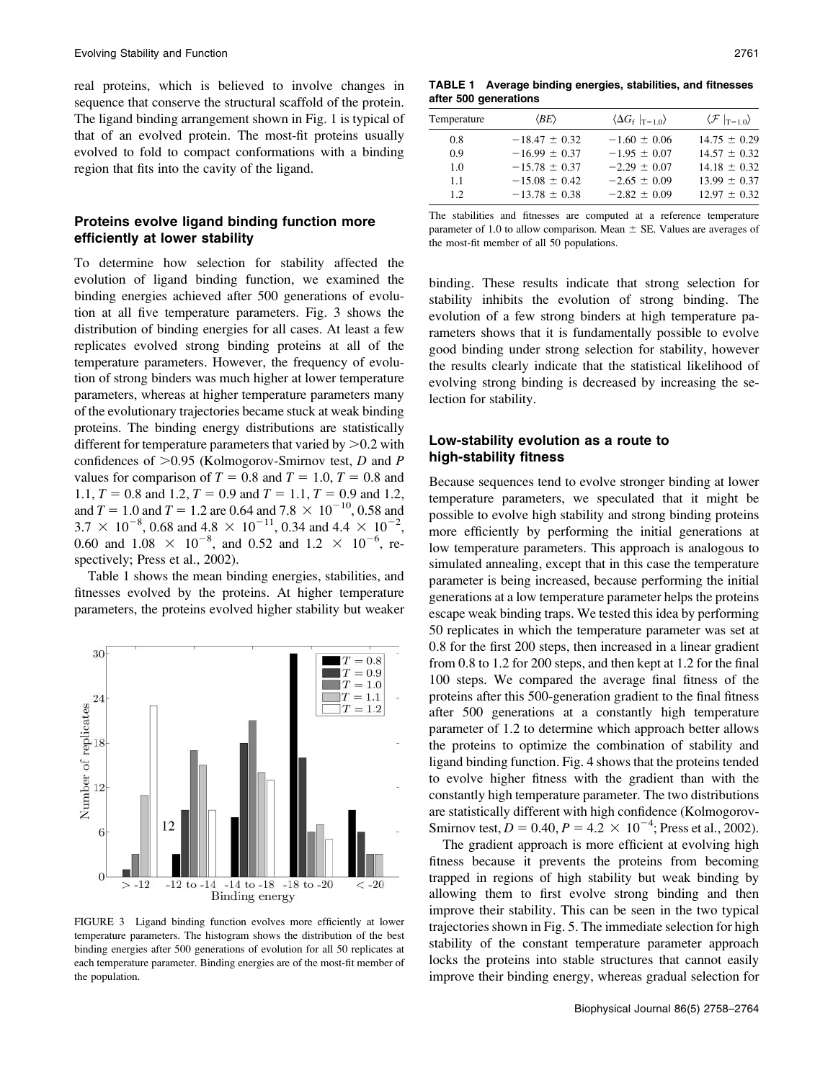real proteins, which is believed to involve changes in sequence that conserve the structural scaffold of the protein. The ligand binding arrangement shown in Fig. 1 is typical of that of an evolved protein. The most-fit proteins usually evolved to fold to compact conformations with a binding region that fits into the cavity of the ligand.

# Proteins evolve ligand binding function more efficiently at lower stability

To determine how selection for stability affected the evolution of ligand binding function, we examined the binding energies achieved after 500 generations of evolution at all five temperature parameters. Fig. 3 shows the distribution of binding energies for all cases. At least a few replicates evolved strong binding proteins at all of the temperature parameters. However, the frequency of evolution of strong binders was much higher at lower temperature parameters, whereas at higher temperature parameters many of the evolutionary trajectories became stuck at weak binding proteins. The binding energy distributions are statistically different for temperature parameters that varied by  $> 0.2$  with confidences of  $>0.95$  (Kolmogorov-Smirnov test, D and P values for comparison of  $T = 0.8$  and  $T = 1.0, T = 0.8$  and 1.1,  $T = 0.8$  and 1.2,  $T = 0.9$  and  $T = 1.1$ ,  $T = 0.9$  and 1.2, and  $T = 1.0$  and  $T = 1.2$  are 0.64 and 7.8  $\times$  10<sup>-10</sup>, 0.58 and  $3.7 \times 10^{-8}$ , 0.68 and 4.8  $\times 10^{-11}$ , 0.34 and 4.4  $\times 10^{-2}$ , 0.60 and 1.08  $\times$  10<sup>-8</sup>, and 0.52 and 1.2  $\times$  10<sup>-6</sup>, respectively; Press et al., 2002).

Table 1 shows the mean binding energies, stabilities, and fitnesses evolved by the proteins. At higher temperature parameters, the proteins evolved higher stability but weaker



FIGURE 3 Ligand binding function evolves more efficiently at lower temperature parameters. The histogram shows the distribution of the best binding energies after 500 generations of evolution for all 50 replicates at each temperature parameter. Binding energies are of the most-fit member of the population.

TABLE 1 Average binding energies, stabilities, and fitnesses after 500 generations

| Temperature | $\langle BE \rangle$ | $\langle \Delta G_f  _{T=1.0} \rangle$ | $\langle \mathcal{F}  _{\mathrm{T}=1.0} \rangle$ |
|-------------|----------------------|----------------------------------------|--------------------------------------------------|
| 0.8         | $-18.47 \pm 0.32$    | $-1.60 \pm 0.06$                       | $14.75 \pm 0.29$                                 |
| 0.9         | $-16.99 \pm 0.37$    | $-1.95 \pm 0.07$                       | $14.57 \pm 0.32$                                 |
| 1.0         | $-15.78 \pm 0.37$    | $-2.29 \pm 0.07$                       | $14.18 \pm 0.32$                                 |
| 1.1         | $-15.08 \pm 0.42$    | $-2.65 \pm 0.09$                       | $13.99 \pm 0.37$                                 |
| 12          | $-13.78 \pm 0.38$    | $-2.82 \pm 0.09$                       | $12.97 \pm 0.32$                                 |
|             |                      |                                        |                                                  |

The stabilities and fitnesses are computed at a reference temperature parameter of 1.0 to allow comparison. Mean  $\pm$  SE. Values are averages of the most-fit member of all 50 populations.

binding. These results indicate that strong selection for stability inhibits the evolution of strong binding. The evolution of a few strong binders at high temperature parameters shows that it is fundamentally possible to evolve good binding under strong selection for stability, however the results clearly indicate that the statistical likelihood of evolving strong binding is decreased by increasing the selection for stability.

# Low-stability evolution as a route to high-stability fitness

Because sequences tend to evolve stronger binding at lower temperature parameters, we speculated that it might be possible to evolve high stability and strong binding proteins more efficiently by performing the initial generations at low temperature parameters. This approach is analogous to simulated annealing, except that in this case the temperature parameter is being increased, because performing the initial generations at a low temperature parameter helps the proteins escape weak binding traps. We tested this idea by performing 50 replicates in which the temperature parameter was set at 0.8 for the first 200 steps, then increased in a linear gradient from 0.8 to 1.2 for 200 steps, and then kept at 1.2 for the final 100 steps. We compared the average final fitness of the proteins after this 500-generation gradient to the final fitness after 500 generations at a constantly high temperature parameter of 1.2 to determine which approach better allows the proteins to optimize the combination of stability and ligand binding function. Fig. 4 shows that the proteins tended to evolve higher fitness with the gradient than with the constantly high temperature parameter. The two distributions are statistically different with high confidence (Kolmogorov-Smirnov test,  $D = 0.40, P = 4.2 \times 10^{-4}$ ; Press et al., 2002).

The gradient approach is more efficient at evolving high fitness because it prevents the proteins from becoming trapped in regions of high stability but weak binding by allowing them to first evolve strong binding and then improve their stability. This can be seen in the two typical trajectories shown in Fig. 5. The immediate selection for high stability of the constant temperature parameter approach locks the proteins into stable structures that cannot easily improve their binding energy, whereas gradual selection for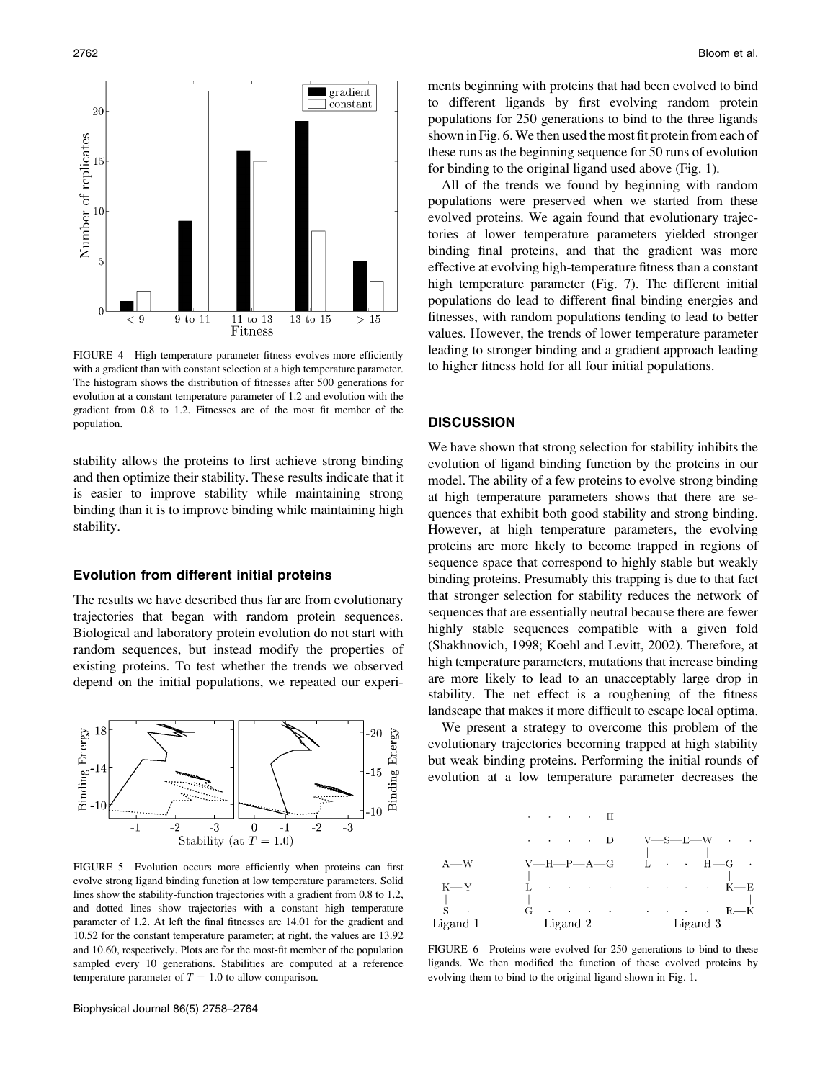

FIGURE 4 High temperature parameter fitness evolves more efficiently with a gradient than with constant selection at a high temperature parameter. The histogram shows the distribution of fitnesses after 500 generations for evolution at a constant temperature parameter of 1.2 and evolution with the gradient from 0.8 to 1.2. Fitnesses are of the most fit member of the population.

stability allows the proteins to first achieve strong binding and then optimize their stability. These results indicate that it is easier to improve stability while maintaining strong binding than it is to improve binding while maintaining high stability.

#### Evolution from different initial proteins

The results we have described thus far are from evolutionary trajectories that began with random protein sequences. Biological and laboratory protein evolution do not start with random sequences, but instead modify the properties of existing proteins. To test whether the trends we observed depend on the initial populations, we repeated our experi-



FIGURE 5 Evolution occurs more efficiently when proteins can first evolve strong ligand binding function at low temperature parameters. Solid lines show the stability-function trajectories with a gradient from 0.8 to 1.2, and dotted lines show trajectories with a constant high temperature parameter of 1.2. At left the final fitnesses are 14.01 for the gradient and 10.52 for the constant temperature parameter; at right, the values are 13.92 and 10.60, respectively. Plots are for the most-fit member of the population sampled every 10 generations. Stabilities are computed at a reference temperature parameter of  $T = 1.0$  to allow comparison.

ments beginning with proteins that had been evolved to bind to different ligands by first evolving random protein populations for 250 generations to bind to the three ligands shown in Fig. 6. We then used the most fit protein from each of these runs as the beginning sequence for 50 runs of evolution for binding to the original ligand used above (Fig. 1).

All of the trends we found by beginning with random populations were preserved when we started from these evolved proteins. We again found that evolutionary trajectories at lower temperature parameters yielded stronger binding final proteins, and that the gradient was more effective at evolving high-temperature fitness than a constant high temperature parameter (Fig. 7). The different initial populations do lead to different final binding energies and fitnesses, with random populations tending to lead to better values. However, the trends of lower temperature parameter leading to stronger binding and a gradient approach leading to higher fitness hold for all four initial populations.

## **DISCUSSION**

We have shown that strong selection for stability inhibits the evolution of ligand binding function by the proteins in our model. The ability of a few proteins to evolve strong binding at high temperature parameters shows that there are sequences that exhibit both good stability and strong binding. However, at high temperature parameters, the evolving proteins are more likely to become trapped in regions of sequence space that correspond to highly stable but weakly binding proteins. Presumably this trapping is due to that fact that stronger selection for stability reduces the network of sequences that are essentially neutral because there are fewer highly stable sequences compatible with a given fold (Shakhnovich, 1998; Koehl and Levitt, 2002). Therefore, at high temperature parameters, mutations that increase binding are more likely to lead to an unacceptably large drop in stability. The net effect is a roughening of the fitness landscape that makes it more difficult to escape local optima.

We present a strategy to overcome this problem of the evolutionary trajectories becoming trapped at high stability but weak binding proteins. Performing the initial rounds of evolution at a low temperature parameter decreases the



FIGURE 6 Proteins were evolved for 250 generations to bind to these ligands. We then modified the function of these evolved proteins by evolving them to bind to the original ligand shown in Fig. 1.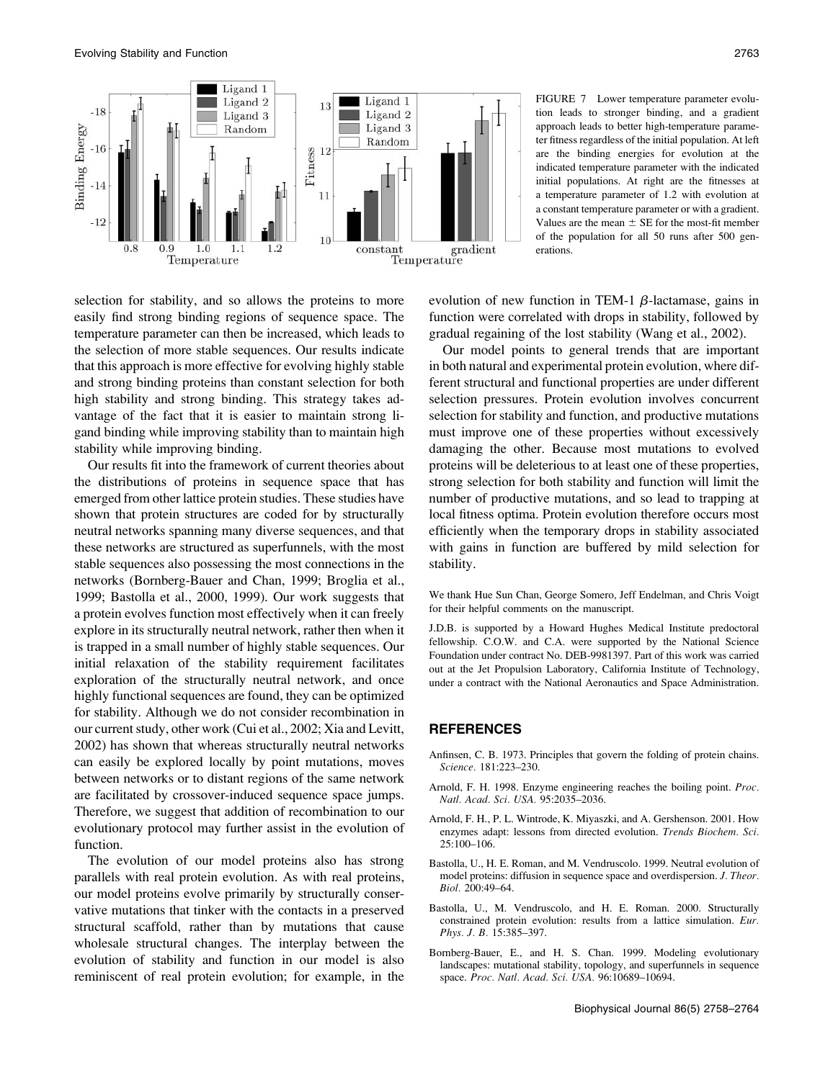

FIGURE 7 Lower temperature parameter evolution leads to stronger binding, and a gradient approach leads to better high-temperature parameter fitness regardless of the initial population. At left are the binding energies for evolution at the indicated temperature parameter with the indicated initial populations. At right are the fitnesses at a temperature parameter of 1.2 with evolution at a constant temperature parameter or with a gradient. Values are the mean  $\pm$  SE for the most-fit member of the population for all 50 runs after 500 generations.

selection for stability, and so allows the proteins to more easily find strong binding regions of sequence space. The temperature parameter can then be increased, which leads to the selection of more stable sequences. Our results indicate that this approach is more effective for evolving highly stable and strong binding proteins than constant selection for both high stability and strong binding. This strategy takes advantage of the fact that it is easier to maintain strong ligand binding while improving stability than to maintain high stability while improving binding.

Our results fit into the framework of current theories about the distributions of proteins in sequence space that has emerged from other lattice protein studies. These studies have shown that protein structures are coded for by structurally neutral networks spanning many diverse sequences, and that these networks are structured as superfunnels, with the most stable sequences also possessing the most connections in the networks (Bornberg-Bauer and Chan, 1999; Broglia et al., 1999; Bastolla et al., 2000, 1999). Our work suggests that a protein evolves function most effectively when it can freely explore in its structurally neutral network, rather then when it is trapped in a small number of highly stable sequences. Our initial relaxation of the stability requirement facilitates exploration of the structurally neutral network, and once highly functional sequences are found, they can be optimized for stability. Although we do not consider recombination in our current study, other work (Cui et al., 2002; Xia and Levitt, 2002) has shown that whereas structurally neutral networks can easily be explored locally by point mutations, moves between networks or to distant regions of the same network are facilitated by crossover-induced sequence space jumps. Therefore, we suggest that addition of recombination to our evolutionary protocol may further assist in the evolution of function.

The evolution of our model proteins also has strong parallels with real protein evolution. As with real proteins, our model proteins evolve primarily by structurally conservative mutations that tinker with the contacts in a preserved structural scaffold, rather than by mutations that cause wholesale structural changes. The interplay between the evolution of stability and function in our model is also reminiscent of real protein evolution; for example, in the evolution of new function in TEM-1  $\beta$ -lactamase, gains in function were correlated with drops in stability, followed by gradual regaining of the lost stability (Wang et al., 2002).

Our model points to general trends that are important in both natural and experimental protein evolution, where different structural and functional properties are under different selection pressures. Protein evolution involves concurrent selection for stability and function, and productive mutations must improve one of these properties without excessively damaging the other. Because most mutations to evolved proteins will be deleterious to at least one of these properties, strong selection for both stability and function will limit the number of productive mutations, and so lead to trapping at local fitness optima. Protein evolution therefore occurs most efficiently when the temporary drops in stability associated with gains in function are buffered by mild selection for stability.

We thank Hue Sun Chan, George Somero, Jeff Endelman, and Chris Voigt for their helpful comments on the manuscript.

J.D.B. is supported by a Howard Hughes Medical Institute predoctoral fellowship. C.O.W. and C.A. were supported by the National Science Foundation under contract No. DEB-9981397. Part of this work was carried out at the Jet Propulsion Laboratory, California Institute of Technology, under a contract with the National Aeronautics and Space Administration.

# REFERENCES

- Anfinsen, C. B. 1973. Principles that govern the folding of protein chains. Science. 181:223–230.
- Arnold, F. H. 1998. Enzyme engineering reaches the boiling point. Proc. Natl. Acad. Sci. USA. 95:2035–2036.
- Arnold, F. H., P. L. Wintrode, K. Miyaszki, and A. Gershenson. 2001. How enzymes adapt: lessons from directed evolution. Trends Biochem. Sci. 25:100–106.
- Bastolla, U., H. E. Roman, and M. Vendruscolo. 1999. Neutral evolution of model proteins: diffusion in sequence space and overdispersion. J. Theor. Biol. 200:49–64.
- Bastolla, U., M. Vendruscolo, and H. E. Roman. 2000. Structurally constrained protein evolution: results from a lattice simulation. Eur. Phys. J. B. 15:385–397.
- Bornberg-Bauer, E., and H. S. Chan. 1999. Modeling evolutionary landscapes: mutational stability, topology, and superfunnels in sequence space. Proc. Natl. Acad. Sci. USA. 96:10689–10694.